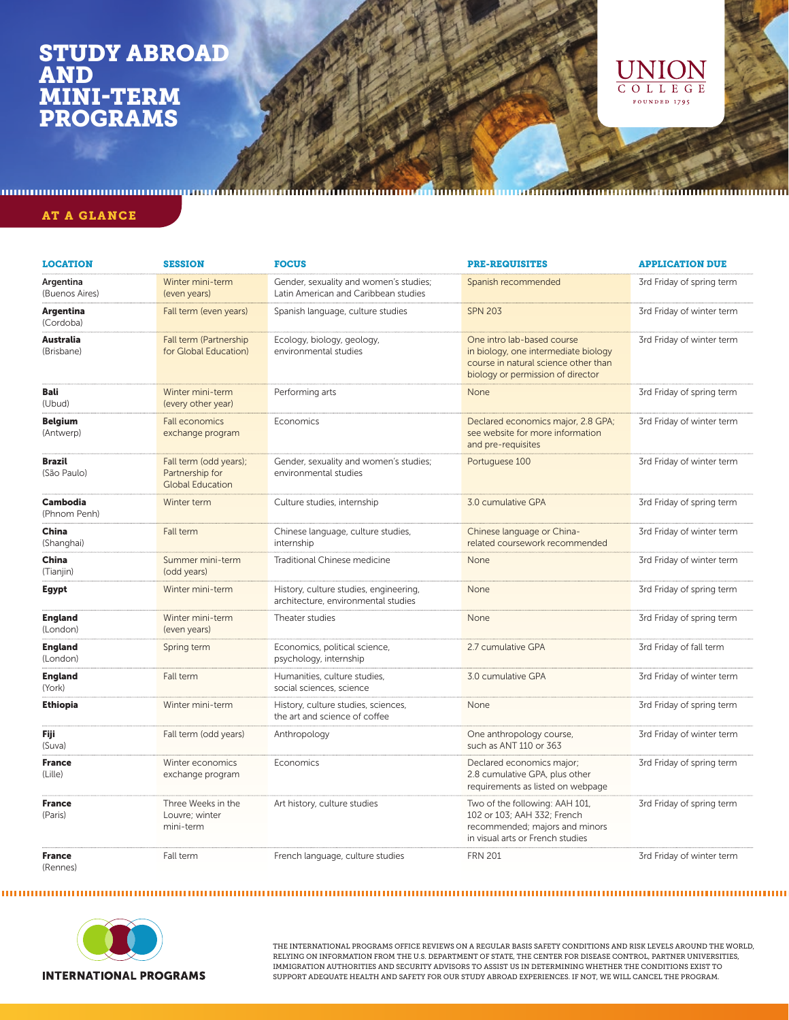## STUDY ABROAD AND MINI-TERM PROGRAMS



AT A GLANCE

| <b>LOCATION</b>                 | <b>SESSION</b>                                                       | <b>FOCUS</b>                                                                   | <b>PRE-REQUISITES</b>                                                                                                                           | <b>APPLICATION DUE</b>    |
|---------------------------------|----------------------------------------------------------------------|--------------------------------------------------------------------------------|-------------------------------------------------------------------------------------------------------------------------------------------------|---------------------------|
| Argentina<br>(Buenos Aires)     | Winter mini-term<br>(even years)                                     | Gender, sexuality and women's studies;<br>Latin American and Caribbean studies | Spanish recommended                                                                                                                             | 3rd Friday of spring term |
| Argentina<br>(Cordoba)          | Fall term (even years)                                               | Spanish language, culture studies                                              | <b>SPN 203</b>                                                                                                                                  | 3rd Friday of winter term |
| Australia<br>(Brisbane)         | Fall term (Partnership<br>for Global Education)                      | Ecology, biology, geology,<br>environmental studies                            | One intro lab-based course<br>in biology, one intermediate biology<br>course in natural science other than<br>biology or permission of director | 3rd Friday of winter term |
| Bali<br>(Ubud)                  | Winter mini-term<br>(every other year)                               | Performing arts                                                                | None                                                                                                                                            | 3rd Friday of spring term |
| <b>Belgium</b><br>(Antwerp)     | <b>Fall economics</b><br>exchange program                            | Economics                                                                      | Declared economics major, 2.8 GPA;<br>see website for more information<br>and pre-requisites                                                    | 3rd Friday of winter term |
| <b>Brazil</b><br>(São Paulo)    | Fall term (odd years);<br>Partnership for<br><b>Global Education</b> | Gender, sexuality and women's studies;<br>environmental studies                | Portuguese 100                                                                                                                                  | 3rd Friday of winter term |
| <b>Cambodia</b><br>(Phnom Penh) | Winter term                                                          | Culture studies, internship                                                    | 3.0 cumulative GPA                                                                                                                              | 3rd Friday of spring term |
| China<br>(Shanghai)             | Fall term                                                            | Chinese language, culture studies,<br>internship                               | Chinese language or China-<br>related coursework recommended                                                                                    | 3rd Friday of winter term |
| China<br>(Tianjin)              | Summer mini-term<br>(odd years)                                      | Traditional Chinese medicine                                                   | None                                                                                                                                            | 3rd Friday of winter term |
| Egypt                           | Winter mini-term                                                     | History, culture studies, engineering,<br>architecture, environmental studies  | None                                                                                                                                            | 3rd Friday of spring term |
| <b>England</b><br>(London)      | Winter mini-term<br>(even years)                                     | Theater studies                                                                | None                                                                                                                                            | 3rd Friday of spring term |
| <b>England</b><br>(London)      | Spring term                                                          | Economics, political science,<br>psychology, internship                        | 2.7 cumulative GPA                                                                                                                              | 3rd Friday of fall term   |
| <b>England</b><br>(York)        | Fall term                                                            | Humanities, culture studies,<br>social sciences, science                       | 3.0 cumulative GPA                                                                                                                              | 3rd Friday of winter term |
| <b>Ethiopia</b>                 | Winter mini-term                                                     | History, culture studies, sciences,<br>the art and science of coffee           | None                                                                                                                                            | 3rd Friday of spring term |
| Fiji<br>(Suva)                  | Fall term (odd years)                                                | Anthropology                                                                   | One anthropology course,<br>such as ANT 110 or 363                                                                                              | 3rd Friday of winter term |
| <b>France</b><br>(Lille)        | Winter economics<br>exchange program                                 | Economics                                                                      | Declared economics major;<br>2.8 cumulative GPA, plus other<br>requirements as listed on webpage                                                | 3rd Friday of spring term |
| <b>France</b><br>(Paris)        | Three Weeks in the<br>Louvre; winter<br>mini-term                    | Art history, culture studies                                                   | Two of the following: AAH 101,<br>102 or 103; AAH 332; French<br>recommended; majors and minors<br>in visual arts or French studies             | 3rd Friday of spring term |
| <b>France</b><br>(Rennes)       | Fall term                                                            | French language, culture studies                                               | <b>FRN 201</b>                                                                                                                                  | 3rd Friday of winter term |



THE INTERNATIONAL PROGRAMS OFFICE REVIEWS ON A REGULAR BASIS SAFETY CONDITIONS AND RISK LEVELS AROUND THE WORLD, RELYING ON INFORMATION FROM THE U.S. DEPARTMENT OF STATE, THE CENTER FOR DISEASE CONTROL, PARTNER UNIVERSITIES, IMMIGRATION AUTHORITIES AND SECURITY ADVISORS TO ASSIST US IN DETERMINING WHETHER THE CONDITIONS EXIST TO SUPPORT ADEQUATE HEALTH AND SAFETY FOR OUR STUDY ABROAD EXPERIENCES. IF NOT, WE WILL CANCEL THE PROGRAM.